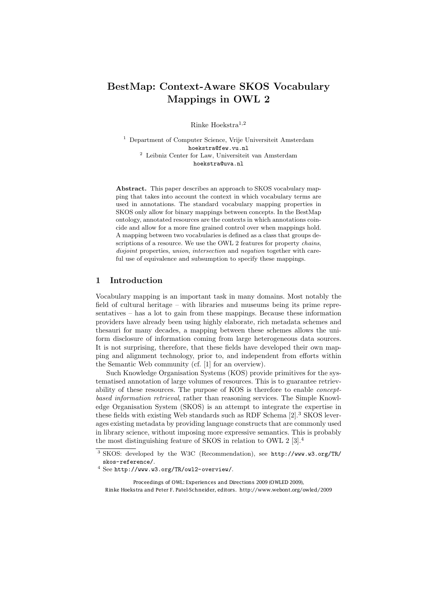# BestMap: Context-Aware SKOS Vocabulary Mappings in OWL 2

Rinke Hoekstra<sup>1</sup>*,*<sup>2</sup>

<sup>1</sup> Department of Computer Science, Vrije Universiteit Amsterdam hoekstra@few.vu.nl <sup>2</sup> Leibniz Center for Law, Universiteit van Amsterdam hoekstra@uva.nl

Abstract. This paper describes an approach to SKOS vocabulary mapping that takes into account the context in which vocabulary terms are used in annotations. The standard vocabulary mapping properties in SKOS only allow for binary mappings between concepts. In the BestMap ontology, annotated resources are the contexts in which annotations coincide and allow for a more fine grained control over when mappings hold. A mapping between two vocabularies is defined as a class that groups descriptions of a resource. We use the OWL 2 features for property *chains*, *disjoint* properties, *union*, *intersection* and *negation* together with careful use of equivalence and subsumption to specify these mappings.

## 1 Introduction

Vocabulary mapping is an important task in many domains. Most notably the field of cultural heritage – with libraries and museums being its prime representatives – has a lot to gain from these mappings. Because these information providers have already been using highly elaborate, rich metadata schemes and thesauri for many decades, a mapping between these schemes allows the uniform disclosure of information coming from large heterogeneous data sources. It is not surprising, therefore, that these fields have developed their own mapping and alignment technology, prior to, and independent from efforts within the Semantic Web community (cf. [\[1\]](#page-8-0) for an overview).

Such Knowledge Organisation Systems (KOS) provide primitives for the systematised annotation of large volumes of resources. This is to guarantee retrievability of these resources. The purpose of KOS is therefore to enable *conceptbased information retrieval*, rather than reasoning services. The Simple Knowledge Organisation System (SKOS) is an attempt to integrate the expertise in these fields with existing Web standards such as RDF Schema [\[2\]](#page-8-1).[3](#page-0-0) SKOS leverages existing metadata by providing language constructs that are commonly used in library science, without imposing more expressive semantics. This is probably the most distinguishing feature of SKOS in relation to OWL 2 [\[3\]](#page-9-0).[4](#page-0-1)

Proceedings of OWL: Experiences and Directions 2009 (OWLED 2009), Rinke Hoekstra and Peter F. Patel-Schneider, editors. http://www.webont.org/owled/2009

<span id="page-0-0"></span><sup>3</sup> SKOS: developed by the W3C (Recommendation), see [http://www.w3.org/TR/](http://www.w3.org/TR/skos-reference/) [skos-reference/](http://www.w3.org/TR/skos-reference/).

<span id="page-0-1"></span><sup>4</sup> See <http://www.w3.org/TR/owl2-overview/>.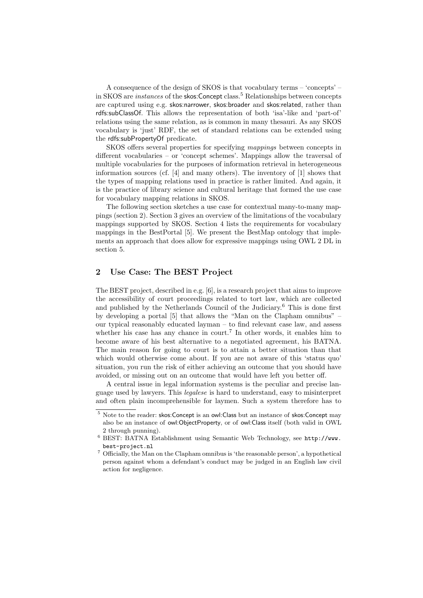A consequence of the design of SKOS is that vocabulary terms – 'concepts' – in SKOS are *instances* of the skos: Concept class.<sup>[5](#page-1-0)</sup> Relationships between concepts are captured using e.g. skos:narrower, skos:broader and skos:related, rather than rdfs:subClassOf. This allows the representation of both 'isa'-like and 'part-of' relations using the same relation, as is common in many thesauri. As any SKOS vocabulary is 'just' RDF, the set of standard relations can be extended using the rdfs:subPropertyOf predicate.

SKOS offers several properties for specifying *mappings* between concepts in different vocabularies – or 'concept schemes'. Mappings allow the traversal of multiple vocabularies for the purposes of information retrieval in heterogeneous information sources (cf. [\[4\]](#page-9-1) and many others). The inventory of [\[1\]](#page-8-0) shows that the types of mapping relations used in practice is rather limited. And again, it is the practice of library science and cultural heritage that formed the use case for vocabulary mapping relations in SKOS.

The following section sketches a use case for contextual many-to-many mappings [\(section 2\)](#page-1-1). Section [3](#page-3-0) gives an overview of the limitations of the vocabulary mappings supported by SKOS. Section [4](#page-4-0) lists the requirements for vocabulary mappings in the BestPortal [\[5\]](#page-9-2). We present the BestMap ontology that implements an approach that does allow for expressive mappings using OWL 2 DL in [section 5.](#page-5-0)

# <span id="page-1-1"></span>2 Use Case: The BEST Project

The BEST project, described in e.g. [\[6\]](#page-9-3), is a research project that aims to improve the accessibility of court proceedings related to tort law, which are collected and published by the Netherlands Council of the Judiciary.[6](#page-1-2) This is done first by developing a portal [\[5\]](#page-9-2) that allows the "Man on the Clapham omnibus" – our typical reasonably educated layman – to find relevant case law, and assess whether his case has any chance in court.<sup>[7](#page-1-3)</sup> In other words, it enables him to become aware of his best alternative to a negotiated agreement, his BATNA. The main reason for going to court is to attain a better situation than that which would otherwise come about. If you are not aware of this 'status quo' situation, you run the risk of either achieving an outcome that you should have avoided, or missing out on an outcome that would have left you better off.

A central issue in legal information systems is the peculiar and precise language used by lawyers. This *legalese* is hard to understand, easy to misinterpret and often plain incomprehensible for laymen. Such a system therefore has to

<span id="page-1-0"></span><sup>&</sup>lt;sup>5</sup> Note to the reader: skos: Concept is an owl: Class but an instance of skos: Concept may also be an instance of owl:ObjectProperty, or of owl:Class itself (both valid in OWL 2 through punning).

<span id="page-1-2"></span><sup>6</sup> BEST: BATNA Establishment using Semantic Web Technology, see [http://www.](http://www.best-project.nl) [best-project.nl](http://www.best-project.nl)

<span id="page-1-3"></span><sup>7</sup> Officially, the Man on the Clapham omnibus is 'the reasonable person', a hypothetical person against whom a defendant's conduct may be judged in an English law civil action for negligence.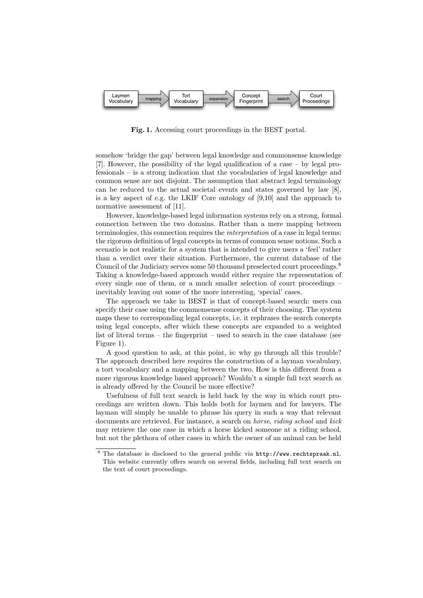

<span id="page-2-1"></span>Fig. 1. Accessing court proceedings in the BEST portal.

somehow 'bridge the gap' between legal knowledge and commonsense knowledge [\[7\]](#page-9-4). However, the possibility of the legal qualification of a case – by legal professionals – is a strong indication that the vocabularies of legal knowledge and common sense are not disjoint. The assumption that abstract legal terminology can be reduced to the actual societal events and states governed by law [\[8\]](#page-9-5), is a key aspect of e.g. the LKIF Core ontology of [\[9](#page-9-6)[,10\]](#page-9-7) and the approach to normative assessment of [\[11\]](#page-9-8).

However, knowledge-based legal information systems rely on a strong, formal connection between the two domains. Rather than a mere mapping between terminologies, this connection requires the *interpretation* of a case in legal terms: the rigorous definition of legal concepts in terms of common sense notions. Such a scenario is not realistic for a system that is intended to give users a 'feel' rather than a verdict over their situation. Furthermore, the current database of the Council of the Judiciary serves some 50 thousand preselected court proceedings.<sup>[8](#page-2-0)</sup> Taking a knowledge-based approach would either require the representation of every single one of them, or a much smaller selection of court proceedings – inevitably leaving out some of the more interesting, 'special' cases.

The approach we take in BEST is that of concept-based search: users can specify their case using the commonsense concepts of their choosing. The system maps these to corresponding legal concepts, i.e. it rephrases the search concepts using legal concepts, after which these concepts are expanded to a weighted list of literal terms – the fingerprint – used to search in the case database (see [Figure 1\)](#page-2-1).

A good question to ask, at this point, is: why go through all this trouble? The approach described here requires the construction of a layman vocabulary, a tort vocabulary and a mapping between the two. How is this different from a more rigorous knowledge based approach? Wouldn't a simple full text search as is already offered by the Council be more effective?

Usefulness of full text search is held back by the way in which court proceedings are written down. This holds both for laymen and for lawyers. The layman will simply be unable to phrase his query in such a way that relevant documents are retrieved. For instance, a search on *horse*, *riding school* and *kick* may retrieve the one case in which a horse kicked someone at a riding school, but not the plethora of other cases in which the owner of an animal can be held

<span id="page-2-0"></span><sup>8</sup> The database is disclosed to the general public via <http://www.rechtspraak.nl>. This website currently offers search on several fields, including full text search on the text of court proceedings.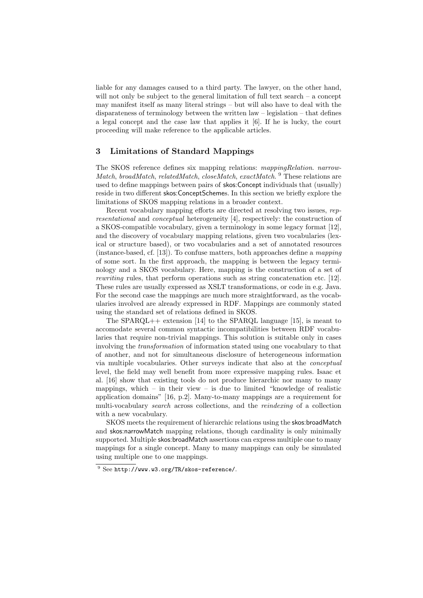liable for any damages caused to a third party. The lawyer, on the other hand, will not only be subject to the general limitation of full text search – a concept may manifest itself as many literal strings – but will also have to deal with the disparateness of terminology between the written law – legislation – that defines a legal concept and the case law that applies it [\[6\]](#page-9-3). If he is lucky, the court proceeding will make reference to the applicable articles.

# <span id="page-3-0"></span>3 Limitations of Standard Mappings

The SKOS reference defines six mapping relations: *mappingRelation*. *narrow-Match*, *broadMatch*, *relatedMatch*, *closeMatch*, *exactMatch*. [9](#page-3-1) These relations are used to define mappings between pairs of skos:Concept individuals that (usually) reside in two different skos:ConceptSchemes. In this section we briefly explore the limitations of SKOS mapping relations in a broader context.

Recent vocabulary mapping efforts are directed at resolving two issues, *representational* and *conceptual* heterogeneity [\[4\]](#page-9-1), respectively: the construction of a SKOS-compatible vocabulary, given a terminology in some legacy format [\[12\]](#page-9-9), and the discovery of vocabulary mapping relations, given two vocabularies (lexical or structure based), or two vocabularies and a set of annotated resources (instance-based, cf. [\[13\]](#page-9-10)). To confuse matters, both approaches define a *mapping* of some sort. In the first approach, the mapping is between the legacy terminology and a SKOS vocabulary. Here, mapping is the construction of a set of *rewriting* rules, that perform operations such as string concatenation etc. [\[12\]](#page-9-9). These rules are usually expressed as XSLT transformations, or code in e.g. Java. For the second case the mappings are much more straightforward, as the vocabularies involved are already expressed in RDF. Mappings are commonly stated using the standard set of relations defined in SKOS.

The SPARQL++ extension [\[14\]](#page-9-11) to the SPARQL language [\[15\]](#page-9-12), is meant to accomodate several common syntactic incompatibilities between RDF vocabularies that require non-trivial mappings. This solution is suitable only in cases involving the *transformation* of information stated using one vocabulary to that of another, and not for simultaneous disclosure of heterogeneous information via multiple vocabularies. Other surveys indicate that also at the *conceptual* level, the field may well benefit from more expressive mapping rules. Isaac et al. [\[16\]](#page-9-13) show that existing tools do not produce hierarchic nor many to many mappings, which – in their view – is due to limited "knowledge of realistic application domains" [\[16,](#page-9-13) p.2]. Many-to-many mappings are a requirement for multi-vocabulary *search* across collections, and the *reindexing* of a collection with a new vocabulary.

SKOS meets the requirement of hierarchic relations using the skos:broadMatch and skos:narrowMatch mapping relations, though cardinality is only minimally supported. Multiple skos:broadMatch assertions can express multiple one to many mappings for a single concept. Many to many mappings can only be simulated using multiple one to one mappings.

<span id="page-3-1"></span><sup>9</sup> See <http://www.w3.org/TR/skos-reference/>.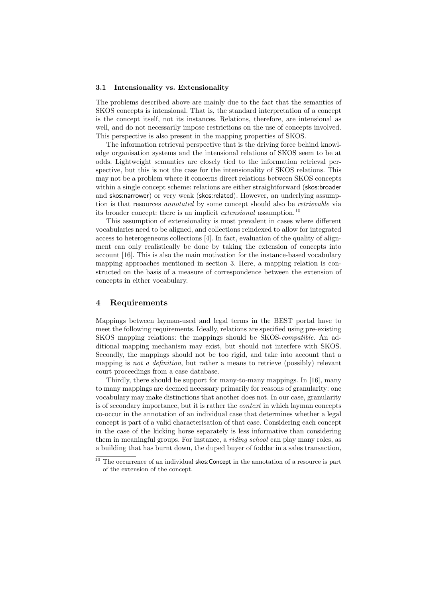#### 3.1 Intensionality vs. Extensionality

The problems described above are mainly due to the fact that the semantics of SKOS concepts is intensional. That is, the standard interpretation of a concept is the concept itself, not its instances. Relations, therefore, are intensional as well, and do not necessarily impose restrictions on the use of concepts involved. This perspective is also present in the mapping properties of SKOS.

The information retrieval perspective that is the driving force behind knowledge organisation systems and the intensional relations of SKOS seem to be at odds. Lightweight semantics are closely tied to the information retrieval perspective, but this is not the case for the intensionality of SKOS relations. This may not be a problem where it concerns direct relations between SKOS concepts within a single concept scheme: relations are either straightforward (skos:broader and skos:narrower) or very weak (skos:related). However, an underlying assumption is that resources *annotated* by some concept should also be *retrievable* via its broader concept: there is an implicit *extensional* assumption.[10](#page-4-1)

This assumption of extensionality is most prevalent in cases where different vocabularies need to be aligned, and collections reindexed to allow for integrated access to heterogeneous collections [\[4\]](#page-9-1). In fact, evaluation of the quality of alignment can only realistically be done by taking the extension of concepts into account [\[16\]](#page-9-13). This is also the main motivation for the instance-based vocabulary mapping approaches mentioned in [section 3.](#page-3-0) Here, a mapping relation is constructed on the basis of a measure of correspondence between the extension of concepts in either vocabulary.

# <span id="page-4-0"></span>4 Requirements

Mappings between layman-used and legal terms in the BEST portal have to meet the following requirements. Ideally, relations are specified using pre-existing SKOS mapping relations: the mappings should be SKOS-*compatible*. An additional mapping mechanism may exist, but should not interfere with SKOS. Secondly, the mappings should not be too rigid, and take into account that a mapping is *not a definition*, but rather a means to retrieve (possibly) relevant court proceedings from a case database.

Thirdly, there should be support for many-to-many mappings. In [\[16\]](#page-9-13), many to many mappings are deemed necessary primarily for reasons of granularity: one vocabulary may make distinctions that another does not. In our case, granularity is of secondary importance, but it is rather the *context* in which layman concepts co-occur in the annotation of an individual case that determines whether a legal concept is part of a valid characterisation of that case. Considering each concept in the case of the kicking horse separately is less informative than considering them in meaningful groups. For instance, a *riding school* can play many roles, as a building that has burnt down, the duped buyer of fodder in a sales transaction,

<span id="page-4-1"></span> $^{10}$  The occurrence of an individual skos: Concept in the annotation of a resource is part of the extension of the concept.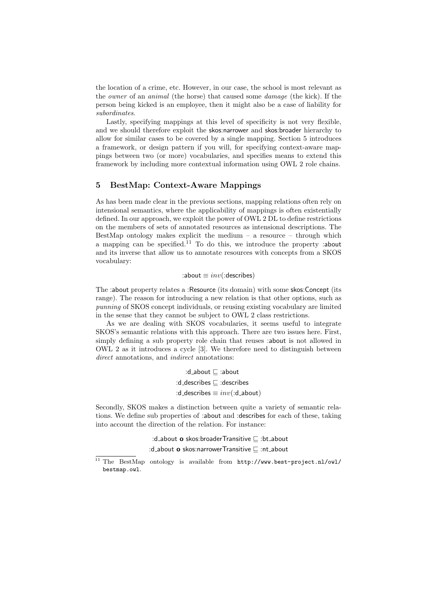the location of a crime, etc. However, in our case, the school is most relevant as the *owner* of an *animal* (the horse) that caused some *damage* (the kick). If the person being kicked is an employee, then it might also be a case of liability for *subordinates*.

Lastly, specifying mappings at this level of specificity is not very flexible, and we should therefore exploit the skos:narrower and skos:broader hierarchy to allow for similar cases to be covered by a single mapping. Section [5](#page-5-0) introduces a framework, or design pattern if you will, for specifying context-aware mappings between two (or more) vocabularies, and specifies means to extend this framework by including more contextual information using OWL 2 role chains.

#### <span id="page-5-0"></span>5 BestMap: Context-Aware Mappings

As has been made clear in the previous sections, mapping relations often rely on intensional semantics, where the applicability of mappings is often existentially defined. In our approach, we exploit the power of OWL 2 DL to define restrictions on the members of sets of annotated resources as intensional descriptions. The BestMap ontology makes explicit the medium  $-$  a resource  $-$  through which a mapping can be specified.<sup>[11](#page-5-1)</sup> To do this, we introduce the property :about and its inverse that allow us to annotate resources with concepts from a SKOS vocabulary:

#### :about ≡ *inv*(:describes)

The :about property relates a :Resource (its domain) with some skos:Concept (its range). The reason for introducing a new relation is that other options, such as *punning* of SKOS concept individuals, or reusing existing vocabulary are limited in the sense that they cannot be subject to OWL 2 class restrictions.

As we are dealing with SKOS vocabularies, it seems useful to integrate SKOS's semantic relations with this approach. There are two issues here. First, simply defining a sub property role chain that reuses :about is not allowed in OWL 2 as it introduces a cycle [\[3\]](#page-9-0). We therefore need to distinguish between *direct* annotations, and *indirect* annotations:

> :d\_about  $\sqsubseteq$  :about  $:d$ <sub>-</sub>describes  $\sqsubset$  :describes :d\_describes  $\equiv inv(\text{:}d\_about)$

Secondly, SKOS makes a distinction between quite a variety of semantic relations. We define sub properties of :about and :describes for each of these, taking into account the direction of the relation. For instance:

> :d\_about  $\mathbf{o}$  skos:broaderTransitive  $\Box$  :bt\_about :d\_about  $\mathbf{o}$  skos:narrowerTransitive  $\sqsubseteq$  :nt\_about

<span id="page-5-1"></span><sup>11</sup> The BestMap ontology is available from [http://www.best-project.nl/owl/](http://www.best-project.nl/owl/bestmap.owl) [bestmap.owl](http://www.best-project.nl/owl/bestmap.owl).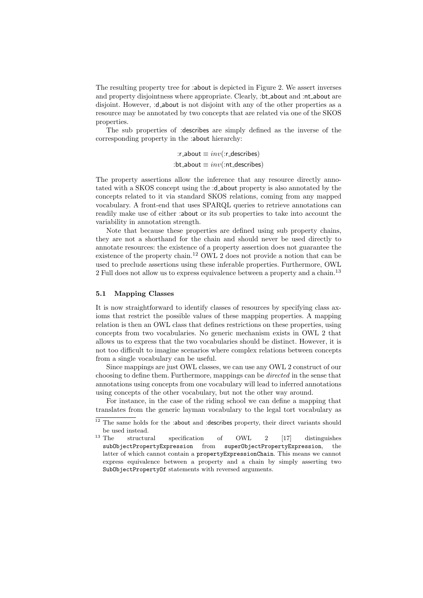The resulting property tree for :about is depicted in [Figure 2.](#page-7-0) We assert inverses and property disjointness where appropriate. Clearly, :bt about and :nt about are disjoint. However, :d\_about is not disjoint with any of the other properties as a resource may be annotated by two concepts that are related via one of the SKOS properties.

The sub properties of :describes are simply defined as the inverse of the corresponding property in the :about hierarchy:

> : $r_$ about  $\equiv inv(:r_$ describes) :bt\_about  $\equiv inv(\text{int\_describes})$

The property assertions allow the inference that any resource directly annotated with a SKOS concept using the :d about property is also annotated by the concepts related to it via standard SKOS relations, coming from any mapped vocabulary. A front-end that uses SPARQL queries to retrieve annotations can readily make use of either :about or its sub properties to take into account the variability in annotation strength.

Note that because these properties are defined using sub property chains, they are not a shorthand for the chain and should never be used directly to annotate resources: the existence of a property assertion does not guarantee the existence of the property chain.<sup>[12](#page-6-0)</sup> OWL 2 does not provide a notion that can be used to preclude assertions using these inferable properties. Furthermore, OWL 2 Full does not allow us to express equivalence between a property and a chain.<sup>[13](#page-6-1)</sup>

#### 5.1 Mapping Classes

It is now straightforward to identify classes of resources by specifying class axioms that restrict the possible values of these mapping properties. A mapping relation is then an OWL class that defines restrictions on these properties, using concepts from two vocabularies. No generic mechanism exists in OWL 2 that allows us to express that the two vocabularies should be distinct. However, it is not too difficult to imagine scenarios where complex relations between concepts from a single vocabulary can be useful.

Since mappings are just OWL classes, we can use any OWL 2 construct of our choosing to define them. Furthermore, mappings can be *directed* in the sense that annotations using concepts from one vocabulary will lead to inferred annotations using concepts of the other vocabulary, but not the other way around.

For instance, in the case of the riding school we can define a mapping that translates from the generic layman vocabulary to the legal tort vocabulary as

<span id="page-6-0"></span><sup>&</sup>lt;sup>12</sup> The same holds for the :about and :describes property, their direct variants should % be used instead.  $$\rm ^{13}$  The  $$\rm ~s$  tructure

<span id="page-6-1"></span>structural specification of OWL 2 [\[17\]](#page-9-14) distinguishes subObjectPropertyExpression from superObjectPropertyExpression, the latter of which cannot contain a propertyExpressionChain. This means we cannot express equivalence between a property and a chain by simply asserting two SubObjectPropertyOf statements with reversed arguments.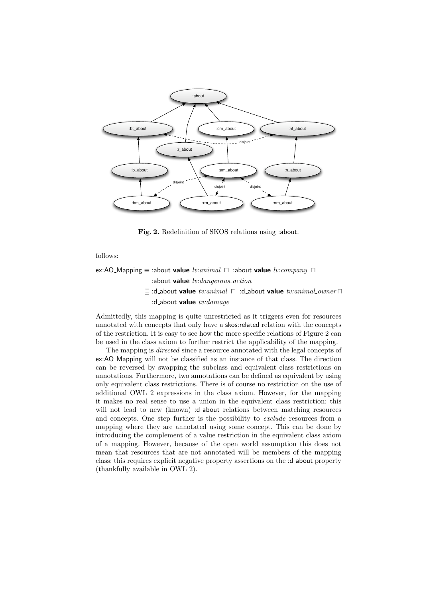

<span id="page-7-0"></span>Fig. 2. Redefinition of SKOS relations using :about.

follows:

ex:AO\_Mapping  $\equiv$  :about **value** *lv:animal*  $\Box$  :about **value** *lv:company*  $\Box$ :about value *lv:dangerous action*  $\subseteq$  :d\_about value  $\mathit{tv:animal} \sqcap$  :d\_about value  $\mathit{tv:animal\_owner} \sqcap$ 

:d about value *tv:damage*

Admittedly, this mapping is quite unrestricted as it triggers even for resources annotated with concepts that only have a skos:related relation with the concepts of the restriction. It is easy to see how the more specific relations of [Figure 2](#page-7-0) can be used in the class axiom to further restrict the applicability of the mapping.

The mapping is *directed* since a resource annotated with the legal concepts of ex:AO Mapping will not be classified as an instance of that class. The direction can be reversed by swapping the subclass and equivalent class restrictions on annotations. Furthermore, two annotations can be defined as equivalent by using only equivalent class restrictions. There is of course no restriction on the use of additional OWL 2 expressions in the class axiom. However, for the mapping it makes no real sense to use a union in the equivalent class restriction: this will not lead to new (known) :d\_about relations between matching resources and concepts. One step further is the possibility to *exclude* resources from a mapping where they are annotated using some concept. This can be done by introducing the complement of a value restriction in the equivalent class axiom of a mapping. However, because of the open world assumption this does not mean that resources that are not annotated will be members of the mapping class: this requires explicit negative property assertions on the :d about property (thankfully available in OWL 2).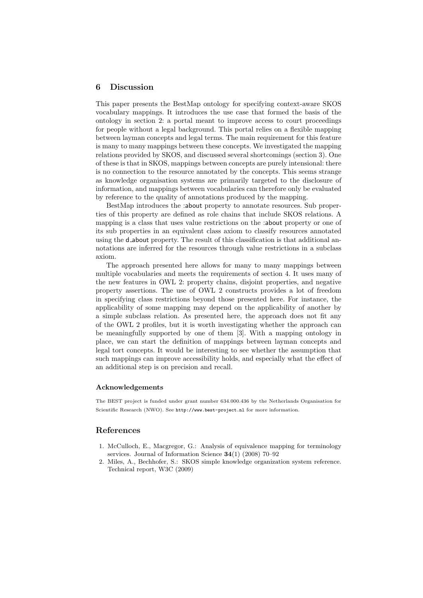#### 6 Discussion

This paper presents the BestMap ontology for specifying context-aware SKOS vocabulary mappings. It introduces the use case that formed the basis of the ontology in [section 2:](#page-1-1) a portal meant to improve access to court proceedings for people without a legal background. This portal relies on a flexible mapping between layman concepts and legal terms. The main requirement for this feature is many to many mappings between these concepts. We investigated the mapping relations provided by SKOS, and discussed several shortcomings [\(section 3\)](#page-3-0). One of these is that in SKOS, mappings between concepts are purely intensional: there is no connection to the resource annotated by the concepts. This seems strange as knowledge organisation systems are primarily targeted to the disclosure of information, and mappings between vocabularies can therefore only be evaluated by reference to the quality of annotations produced by the mapping.

BestMap introduces the :about property to annotate resources. Sub properties of this property are defined as role chains that include SKOS relations. A mapping is a class that uses value restrictions on the :about property or one of its sub properties in an equivalent class axiom to classify resources annotated using the d about property. The result of this classification is that additional annotations are inferred for the resources through value restrictions in a subclass axiom.

The approach presented here allows for many to many mappings between multiple vocabularies and meets the requirements of [section 4.](#page-4-0) It uses many of the new features in OWL 2: property chains, disjoint properties, and negative property assertions. The use of OWL 2 constructs provides a lot of freedom in specifying class restrictions beyond those presented here. For instance, the applicability of some mapping may depend on the applicability of another by a simple subclass relation. As presented here, the approach does not fit any of the OWL 2 profiles, but it is worth investigating whether the approach can be meaningfully supported by one of them [\[3\]](#page-9-0). With a mapping ontology in place, we can start the definition of mappings between layman concepts and legal tort concepts. It would be interesting to see whether the assumption that such mappings can improve accessibility holds, and especially what the effect of an additional step is on precision and recall.

#### Acknowledgements

The BEST project is funded under grant number 634.000.436 by the Netherlands Organisation for Scientific Research (NWO). See <http://www.best-project.nl> for more information.

### References

- <span id="page-8-0"></span>1. McCulloch, E., Macgregor, G.: Analysis of equivalence mapping for terminology services. Journal of Information Science 34(1) (2008) 70–92
- <span id="page-8-1"></span>2. Miles, A., Bechhofer, S.: SKOS simple knowledge organization system reference. Technical report, W3C (2009)